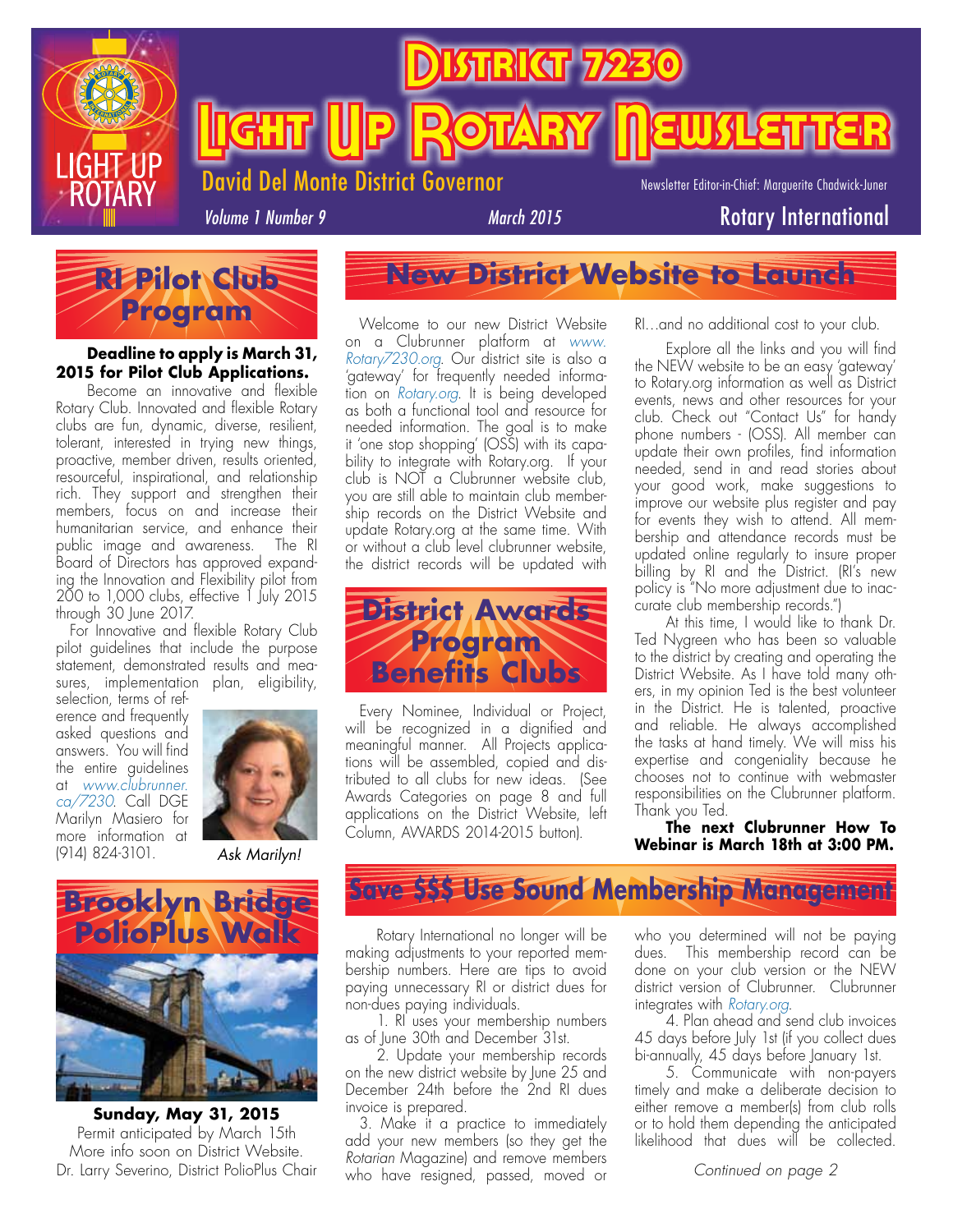

<u>Rikar</u>

**Light (Up Rotary Newsletter** 

Del Monte District Governor

Newsletter Editor-in-Chief: Marguerite Chadwick-Juner

*Volume 1 Number 9*

*March 2015* Rotary International



#### **Deadline to apply is March 31, 2015 for Pilot Club Applications.**

Become an innovative and flexible Rotary Club. Innovated and flexible Rotary clubs are fun, dynamic, diverse, resilient, tolerant, interested in trying new things, proactive, member driven, results oriented, resourceful, inspirational, and relationship rich. They support and strengthen their members, focus on and increase their humanitarian service, and enhance their public image and awareness. The RI Board of Directors has approved expanding the Innovation and Flexibility pilot from 200 to 1,000 clubs, effective 1 July 2015 through 30 June 2017.

For Innovative and flexible Rotary Club pilot guidelines that include the purpose statement, demonstrated results and measures, implementation plan, eligibility,

selection, terms of reference and frequently asked questions and answers. You will find the entire guidelines at *www.clubrunner. ca/7230*. Call DGE Marilyn Masiero for more information at (914) 824-3101. *Ask Marilyn!*





**Sunday, May 31, 2015** Permit anticipated by March 15th More info soon on District Website. Dr. Larry Severino, District PolioPlus Chair

**New District Website to Launch**

Welcome to our new District Website on a Clubrunner platform at *www. Rotary7230.org*. Our district site is also a 'gateway' for frequently needed information on *Rotary.org*. It is being developed as both a functional tool and resource for needed information. The goal is to make it 'one stop shopping' (OSS) with its capability to integrate with Rotary.org. If your club is NOT a Clubrunner website club, you are still able to maintain club membership records on the District Website and update Rotary.org at the same time. With or without a club level clubrunner website, the district records will be updated with



Every Nominee, Individual or Project, will be recognized in a dignified and meaningful manner. All Projects applications will be assembled, copied and distributed to all clubs for new ideas. (See Awards Categories on page 8 and full applications on the District Website, left Column, AWARDS 2014-2015 button).

RI…and no additional cost to your club.

Explore all the links and you will find the NEW website to be an easy 'gateway' to Rotary.org information as well as District events, news and other resources for your club. Check out "Contact Us" for handy phone numbers - (OSS). All member can update their own profiles, find information needed, send in and read stories about your good work, make suggestions to improve our website plus register and pay for events they wish to attend. All membership and attendance records must be updated online regularly to insure proper billing by RI and the District. (RI's new policy is "No more adjustment due to inaccurate club membership records.")

At this time, I would like to thank Dr. Ted Nygreen who has been so valuable to the district by creating and operating the District Website. As I have told many others, in my opinion Ted is the best volunteer in the District. He is talented, proactive and reliable. He always accomplished the tasks at hand timely. We will miss his expertise and congeniality because he chooses not to continue with webmaster responsibilities on the Clubrunner platform. Thank you Ted.

**The next Clubrunner How To Webinar is March 18th at 3:00 PM.** 

## **Save \$\$\$ Use Sound Membership Management**

Rotary International no longer will be making adjustments to your reported membership numbers. Here are tips to avoid paying unnecessary RI or district dues for non-dues paying individuals.

1. RI uses your membership numbers as of June 30th and December 31st.

2. Update your membership records on the new district website by June 25 and December 24th before the 2nd RI dues invoice is prepared.

3. Make it a practice to immediately add your new members (so they get the *Rotarian* Magazine) and remove members who have resigned, passed, moved or

who you determined will not be paying dues. This membership record can be done on your club version or the NEW district version of Clubrunner. Clubrunner integrates with *Rotary.org*.

4. Plan ahead and send club invoices 45 days before July 1st (if you collect dues bi-annually, 45 days before January 1st.

5. Communicate with non-payers timely and make a deliberate decision to either remove a member(s) from club rolls or to hold them depending the anticipated likelihood that dues will be collected.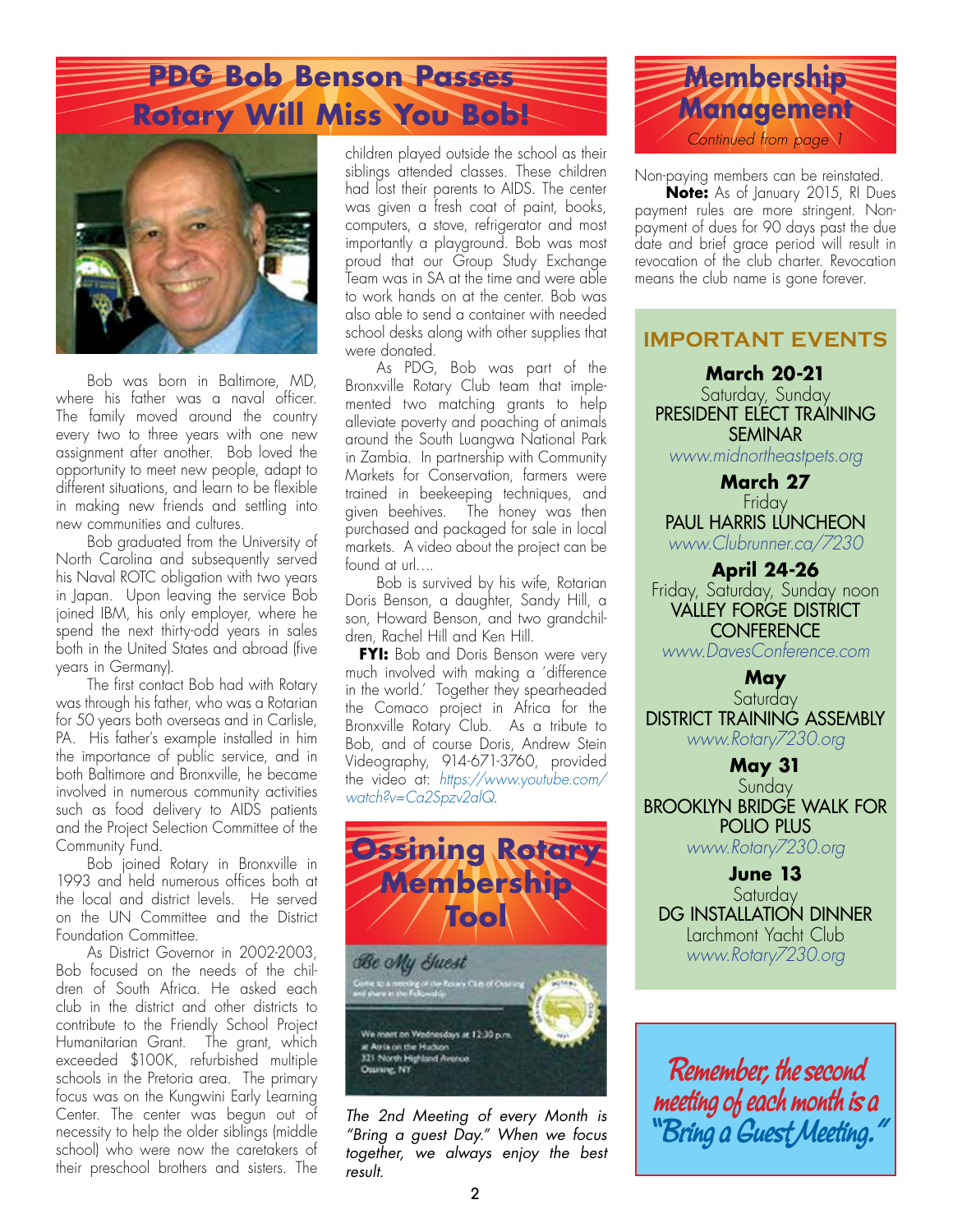# **PDG Bob Benson Passes Rotary Will Miss You Bob!**



Bob was born in Baltimore, MD, where his father was a naval officer. The family moved around the country every two to three years with one new assignment after another. Bob loved the opportunity to meet new people, adapt to different situations, and learn to be flexible in making new friends and settling into new communities and cultures.

Bob graduated from the University of North Carolina and subsequently served his Naval ROTC obligation with two years in Japan. Upon leaving the service Bob joined IBM, his only employer, where he spend the next thirty-odd years in sales both in the United States and abroad (five years in Germany).

The first contact Bob had with Rotary was through his father, who was a Rotarian for 50 years both overseas and in Carlisle, PA. His father's example installed in him the importance of public service, and in both Baltimore and Bronxville, he became involved in numerous community activities such as food delivery to AIDS patients and the Project Selection Committee of the Community Fund.

Bob joined Rotary in Bronxville in 1993 and held numerous offices both at the local and district levels. He served on the UN Committee and the District Foundation Committee.

As District Governor in 2002-2003, Bob focused on the needs of the children of South Africa. He asked each club in the district and other districts to contribute to the Friendly School Project Humanitarian Grant. The grant, which exceeded \$100K, refurbished multiple schools in the Pretoria area. The primary focus was on the Kungwini Early Learning Center. The center was begun out of necessity to help the older siblings (middle school) who were now the caretakers of their preschool brothers and sisters. The

children played outside the school as their siblings attended classes. These children had lost their parents to AIDS. The center was given a fresh coat of paint, books, computers, a stove, refrigerator and most importantly a playground. Bob was most proud that our Group Study Exchange Team was in SA at the time and were able to work hands on at the center. Bob was also able to send a container with needed school desks along with other supplies that were donated.

As PDG, Bob was part of the Bronxville Rotary Club team that implemented two matching grants to help alleviate poverty and poaching of animals around the South Luangwa National Park in Zambia. In partnership with Community Markets for Conservation, farmers were trained in beekeeping techniques, and given beehives. The honey was then purchased and packaged for sale in local markets. A video about the project can be found at url….

Bob is survived by his wife, Rotarian Doris Benson, a daughter, Sandy Hill, a son, Howard Benson, and two grandchildren, Rachel Hill and Ken Hill.

**FYI:** Bob and Doris Benson were very much involved with making a 'difference in the world.' Together they spearheaded the Comaco project in Africa for the Bronxville Rotary Club. As a tribute to Bob, and of course Doris, Andrew Stein Videography, 914-671-3760, provided the video at: *https://www.youtube.com/ watch?v=Ca2Spzv2alQ*.



*The 2nd Meeting of every Month is "Bring a guest Day." When we focus together, we always enjoy the best result.*



Non-paying members can be reinstated.

**Note:** As of January 2015, RI Dues payment rules are more stringent. Nonpayment of dues for 90 days past the due date and brief grace period will result in revocation of the club charter. Revocation means the club name is gone forever.

#### **IMPORTANT EVENTS**

**March 20-21** Saturday, Sunday PRESIDENT ELECT TRAINING **SFMINAR** 

*www.midnortheastpets.org*

**March 27 Friday** Paul Harris Luncheon *www.Clubrunner.ca/7230*

**April 24-26** Friday, Saturday, Sunday noon **VALLEY FORGE DISTRICT CONFERENCE** 

*www.DavesConference.com*

**May** Saturday DISTRICT TRAINING ASSEMBLY *www.Rotary7230.org*

**May 31 Sunday** Brooklyn Bridge Walk for POLIO PLUS *www.Rotary7230.org*

**June 13 Saturday** DG INSTALLATION DINNER Larchmont Yacht Club *www.Rotary7230.org*

**Remember, the second meeting of each month is a "Bring a Guest Meeting."**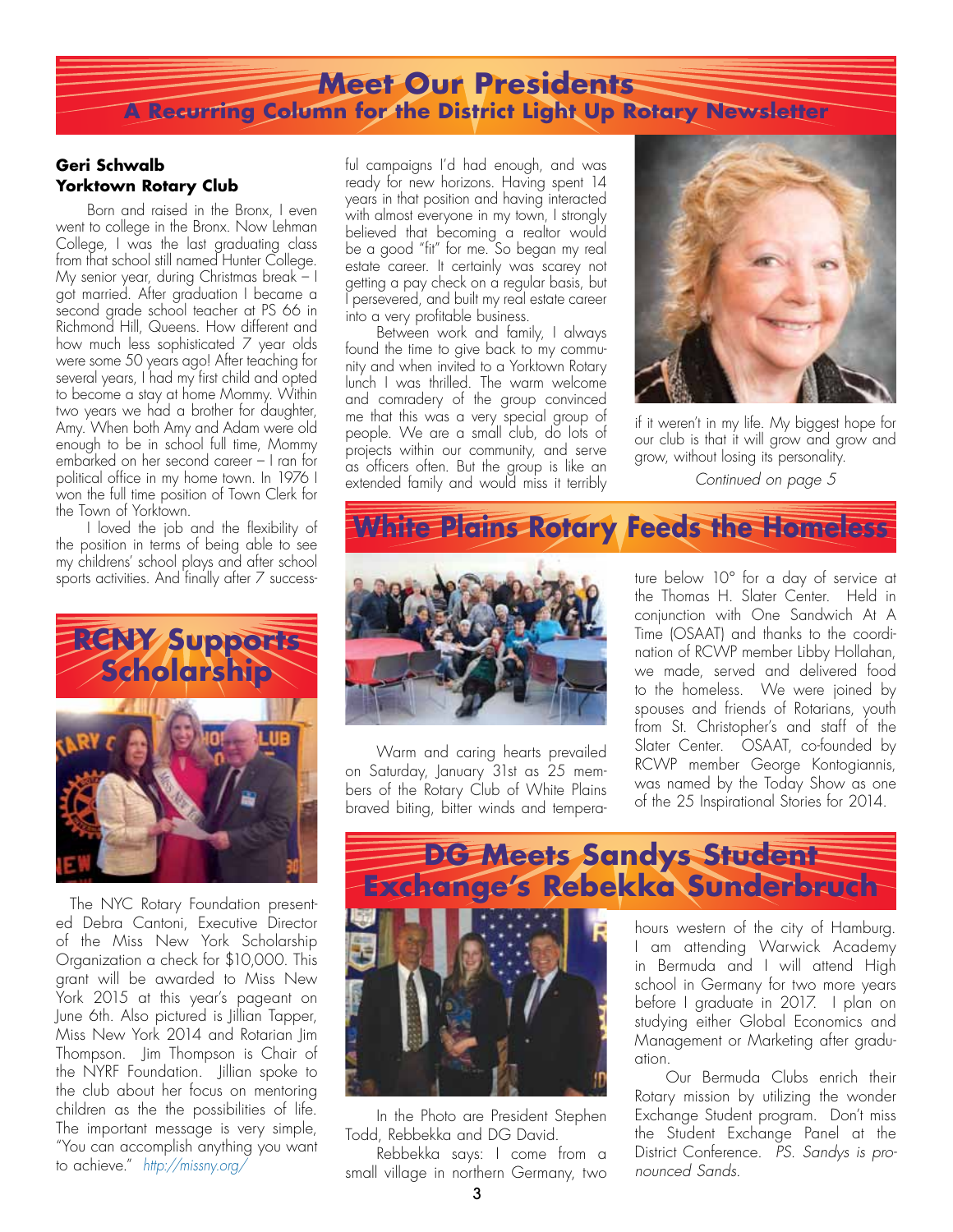## **Meet Our Presidents A Recurring Column for the District Light Up Rotary Newsletter**

#### **Geri Schwalb Yorktown Rotary Club**

Born and raised in the Bronx, I even went to college in the Bronx. Now Lehman College, I was the last graduating class from that school still named Hunter College. My senior year, during Christmas break – I got married. After graduation I became a second grade school teacher at PS 66 in Richmond Hill, Queens. How different and how much less sophisticated 7 year olds were some 50 years ago! After teaching for several years, I had my first child and opted to become a stay at home Mommy. Within two years we had a brother for daughter, Amy. When both Amy and Adam were old enough to be in school full time, Mommy embarked on her second career – I ran for political office in my home town. In 1976 I won the full time position of Town Clerk for the Town of Yorktown.

I loved the job and the flexibility of the position in terms of being able to see my childrens' school plays and after school sports activities. And finally after 7 success-



The NYC Rotary Foundation presented Debra Cantoni, Executive Director of the Miss New York Scholarship Organization a check for \$10,000. This grant will be awarded to Miss New York 2015 at this year's pageant on June 6th. Also pictured is Jillian Tapper, Miss New York 2014 and Rotarian Jim Thompson. Jim Thompson is Chair of the NYRF Foundation. Jillian spoke to the club about her focus on mentoring children as the the possibilities of life. The important message is very simple, "You can accomplish anything you want to achieve." *http://missny.org/*

ful campaigns I'd had enough, and was ready for new horizons. Having spent 14 years in that position and having interacted with almost everyone in my town, I strongly believed that becoming a realtor would be a good "fit" for me. So began my real estate career. It certainly was scarey not getting a pay check on a regular basis, but I persevered, and built my real estate career into a very profitable business.

Between work and family, I always found the time to give back to my community and when invited to a Yorktown Rotary lunch I was thrilled. The warm welcome and comradery of the group convinced me that this was a very special group of people. We are a small club, do lots of projects within our community, and serve as officers often. But the group is like an extended family and would miss it terribly *Continued on page 5*



if it weren't in my life. My biggest hope for our club is that it will grow and grow and grow, without losing its personality.

## **White Plains Rotary Feeds the Homeless**



Warm and caring hearts prevailed on Saturday, January 31st as 25 members of the Rotary Club of White Plains braved biting, bitter winds and temperature below 10° for a day of service at the Thomas H. Slater Center. Held in conjunction with One Sandwich At A Time (OSAAT) and thanks to the coordination of RCWP member Libby Hollahan, we made, served and delivered food to the homeless. We were joined by spouses and friends of Rotarians, youth from St. Christopher's and staff of the Slater Center. OSAAT, co-founded by RCWP member George Kontogiannis, was named by the Today Show as one of the 25 Inspirational Stories for 2014.



hours western of the city of Hamburg. I am attending Warwick Academy in Bermuda and I will attend High school in Germany for two more years before I graduate in 2017. I plan on studying either Global Economics and Management or Marketing after graduation.

Our Bermuda Clubs enrich their Rotary mission by utilizing the wonder Exchange Student program. Don't miss the Student Exchange Panel at the District Conference. *PS. Sandys is pronounced Sands.* 

Todd, Rebbekka and DG David.

In the Photo are President Stephen

Rebbekka says: I come from a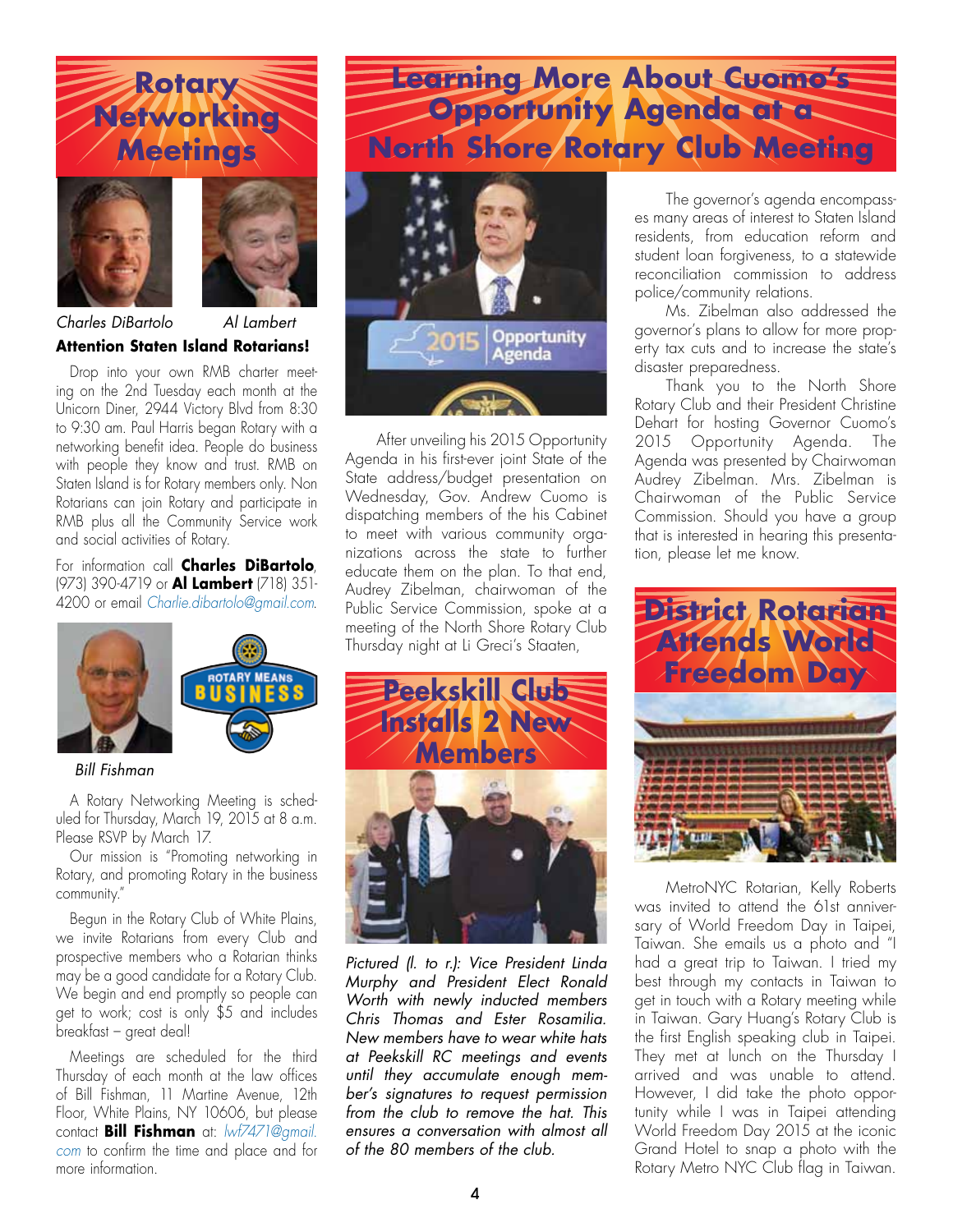# **Rotary Networking Meetings**



![](_page_3_Picture_2.jpeg)

**Attention Staten Island Rotarians!**  *Charles DiBartolo Al Lambert*

Drop into your own RMB charter meeting on the 2nd Tuesday each month at the Unicorn Diner, 2944 Victory Blvd from 8:30 to 9:30 am. Paul Harris began Rotary with a networking benefit idea. People do business with people they know and trust. RMB on Staten Island is for Rotary members only. Non Rotarians can join Rotary and participate in RMB plus all the Community Service work and social activities of Rotary.

For information call **Charles DiBartolo**, (973) 390-4719 or **Al Lambert** (718) 351- 4200 or email *Charlie.dibartolo@gmail.com*.

![](_page_3_Picture_6.jpeg)

#### *Bill Fishman*

A Rotary Networking Meeting is scheduled for Thursday, March 19, 2015 at 8 a.m. Please RSVP by March 17.

Our mission is "Promoting networking in Rotary, and promoting Rotary in the business community."

Begun in the Rotary Club of White Plains, we invite Rotarians from every Club and prospective members who a Rotarian thinks may be a good candidate for a Rotary Club. We begin and end promptly so people can get to work; cost is only \$5 and includes breakfast – great deal!

Meetings are scheduled for the third Thursday of each month at the law offices of Bill Fishman, 11 Martine Avenue, 12th Floor, White Plains, NY 10606, but please contact **Bill Fishman** at: *lwf7471@gmail. com* to confirm the time and place and for more information.

# **Learning More About Cuomo's Opportunity Agenda at a North Shore Rotary Club Meeting**

![](_page_3_Picture_13.jpeg)

After unveiling his 2015 Opportunity Agenda in his first-ever joint State of the State address/budget presentation on Wednesday, Gov. Andrew Cuomo is dispatching members of the his Cabinet to meet with various community organizations across the state to further educate them on the plan. To that end, Audrey Zibelman, chairwoman of the Public Service Commission, spoke at a meeting of the North Shore Rotary Club Thursday night at Li Greci's Staaten,

![](_page_3_Picture_15.jpeg)

*Pictured (l. to r.): Vice President Linda Murphy and President Elect Ronald Worth with newly inducted members Chris Thomas and Ester Rosamilia. New members have to wear white hats at Peekskill RC meetings and events until they accumulate enough member's signatures to request permission from the club to remove the hat. This ensures a conversation with almost all of the 80 members of the club.*

The governor's agenda encompasses many areas of interest to Staten Island residents, from education reform and student loan forgiveness, to a statewide reconciliation commission to address police/community relations.

Ms. Zibelman also addressed the governor's plans to allow for more property tax cuts and to increase the state's disaster preparedness.

Thank you to the North Shore Rotary Club and their President Christine Dehart for hosting Governor Cuomo's 2015 Opportunity Agenda. The Agenda was presented by Chairwoman Audrey Zibelman. Mrs. Zibelman is Chairwoman of the Public Service Commission. Should you have a group that is interested in hearing this presentation, please let me know.

![](_page_3_Picture_20.jpeg)

MetroNYC Rotarian, Kelly Roberts was invited to attend the 61st anniversary of World Freedom Day in Taipei, Taiwan. She emails us a photo and "I had a great trip to Taiwan. I tried my best through my contacts in Taiwan to get in touch with a Rotary meeting while in Taiwan. Gary Huang's Rotary Club is the first English speaking club in Taipei. They met at lunch on the Thursday I arrived and was unable to attend. However, I did take the photo opportunity while I was in Taipei attending World Freedom Day 2015 at the iconic Grand Hotel to snap a photo with the Rotary Metro NYC Club flag in Taiwan.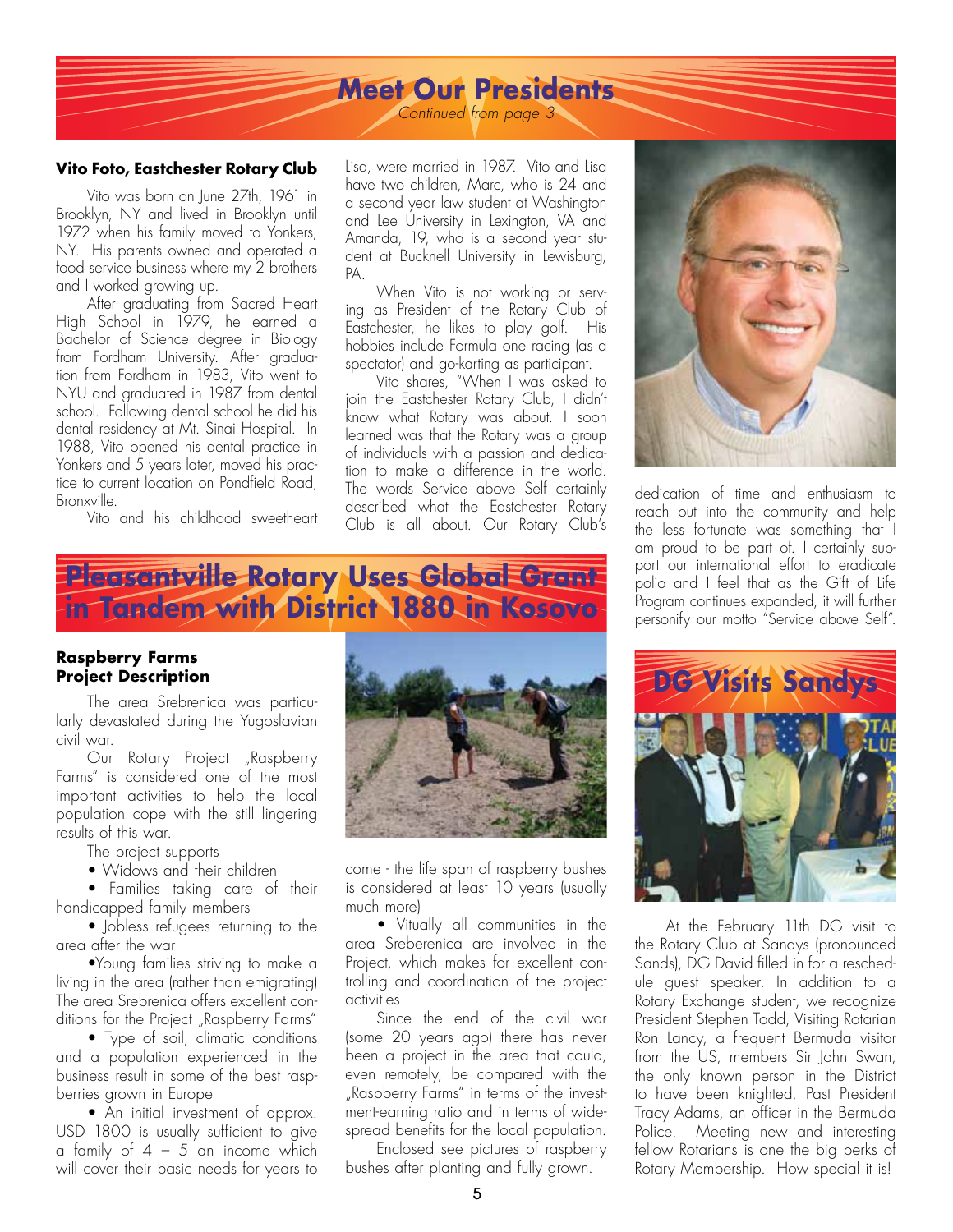## **Meet Our Presidents**

*Continued from page 3*

#### **Vito Foto, Eastchester Rotary Club**

Vito was born on June 27th, 1961 in Brooklyn, NY and lived in Brooklyn until 1972 when his family moved to Yonkers, NY. His parents owned and operated a food service business where my 2 brothers and I worked growing up.

After graduating from Sacred Heart High School in 1979, he earned a Bachelor of Science degree in Biology from Fordham University. After graduation from Fordham in 1983, Vito went to NYU and graduated in 1987 from dental school. Following dental school he did his dental residency at Mt. Sinai Hospital. In 1988, Vito opened his dental practice in Yonkers and 5 years later, moved his practice to current location on Pondfield Road. Bronxville.

Vito and his childhood sweetheart

Lisa, were married in 1987. Vito and Lisa have two children, Marc, who is 24 and a second year law student at Washington and Lee University in Lexington, VA and Amanda, 19, who is a second year student at Bucknell University in Lewisburg, PA.

When Vito is not working or serving as President of the Rotary Club of Eastchester, he likes to play golf. His hobbies include Formula one racing (as a spectator) and go-karting as participant.

Vito shares, "When I was asked to join the Eastchester Rotary Club, I didn't know what Rotary was about. I soon learned was that the Rotary was a group of individuals with a passion and dedication to make a difference in the world. The words Service above Self certainly described what the Eastchester Rotary Club is all about. Our Rotary Club's

## **Pleasantville Rotary Uses Global Grant in Tandem with District 1880 in Kosovo**

#### **Raspberry Farms Project Description**

The area Srebrenica was particularly devastated during the Yugoslavian civil war.

Our Rotary Project "Raspberry Farms" is considered one of the most important activities to help the local population cope with the still lingering results of this war.

The project supports

 • Widows and their children

 • Families taking care of their handicapped family members

 • Jobless refugees returning to the area after the war

 •Young families striving to make a living in the area (rather than emigrating) The area Srebrenica offers excellent conditions for the Project "Raspberry Farms"

 • Type of soil, climatic conditions and a population experienced in the business result in some of the best raspberries grown in Europe

 • An initial investment of approx. USD 1800 is usually sufficient to give a family of  $4 - 5$  an income which will cover their basic needs for years to

![](_page_4_Picture_20.jpeg)

come - the life span of raspberry bushes is considered at least 10 years (usually much more)

 • Vitually all communities in the area Sreberenica are involved in the Project, which makes for excellent controlling and coordination of the project activities

Since the end of the civil war (some 20 years ago) there has never been a project in the area that could, even remotely, be compared with the "Raspberry Farms" in terms of the investment-earning ratio and in terms of widespread benefits for the local population.

Enclosed see pictures of raspberry bushes after planting and fully grown.

![](_page_4_Picture_25.jpeg)

dedication of time and enthusiasm to reach out into the community and help the less fortunate was something that I am proud to be part of. I certainly support our international effort to eradicate polio and I feel that as the Gift of Life Program continues expanded, it will further personify our motto "Service above Self".

![](_page_4_Picture_27.jpeg)

At the February 11th DG visit to the Rotary Club at Sandys (pronounced Sands), DG David filled in for a reschedule guest speaker. In addition to a Rotary Exchange student, we recognize President Stephen Todd, Visiting Rotarian Ron Lancy, a frequent Bermuda visitor from the US, members Sir John Swan, the only known person in the District to have been knighted, Past President Tracy Adams, an officer in the Bermuda Police. Meeting new and interesting fellow Rotarians is one the big perks of Rotary Membership. How special it is!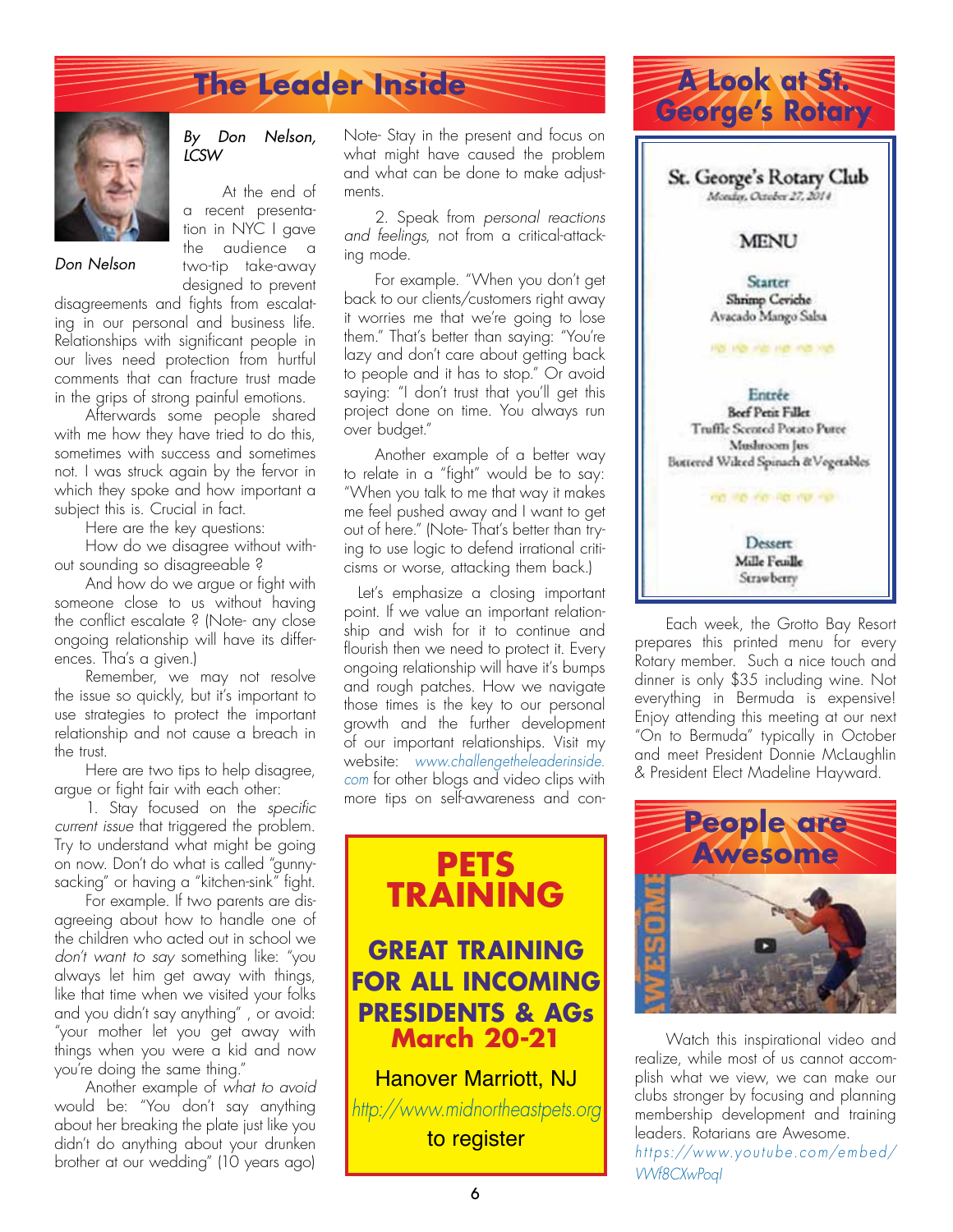# **The Leader Inside**

![](_page_5_Picture_1.jpeg)

#### *By Don Nelson, LCSW*

At the end of a recent presentation in NYC I gave the audience a two-tip take-away designed to prevent

*Don Nelson*

disagreements and fights from escalating in our personal and business life. Relationships with significant people in our lives need protection from hurtful comments that can fracture trust made in the grips of strong painful emotions.

Afterwards some people shared with me how they have tried to do this, sometimes with success and sometimes not. I was struck again by the fervor in which they spoke and how important a subject this is. Crucial in fact.

Here are the key questions:

How do we disagree without without sounding so disagreeable ?

And how do we argue or fight with someone close to us without having the conflict escalate ? (Note- any close ongoing relationship will have its differences. Tha's a given.)

Remember, we may not resolve the issue so quickly, but it's important to use strategies to protect the important relationship and not cause a breach in the trust.

Here are two tips to help disagree, argue or fight fair with each other:

1. Stay focused on the *specific current issue* that triggered the problem. Try to understand what might be going on now. Don't do what is called "gunnysacking" or having a "kitchen-sink" fight.

For example. If two parents are disagreeing about how to handle one of the children who acted out in school we *don't want to say* something like: "you always let him get away with things, like that time when we visited your folks and you didn't say anything" , or avoid: "your mother let you get away with things when you were a kid and now you're doing the same thing."

Another example of *what to avoid*  would be: "You don't say anything about her breaking the plate just like you didn't do anything about your drunken brother at our wedding" (10 years ago)

Note- Stay in the present and focus on what might have caused the problem and what can be done to make adjustments.

2. Speak from *personal reactions and feelings*, not from a critical-attacking mode.

For example. "When you don't get back to our clients/customers right away it worries me that we're going to lose them." That's better than saying: "You're lazy and don't care about getting back to people and it has to stop." Or avoid saying: "I don't trust that you'll get this project done on time. You always run over budget."

Another example of a better way to relate in a "fight" would be to say: "When you talk to me that way it makes me feel pushed away and I want to get out of here." (Note- That's better than trying to use logic to defend irrational criticisms or worse, attacking them back.)

Let's emphasize a closing important point. If we value an important relationship and wish for it to continue and flourish then we need to protect it. Every ongoing relationship will have it's bumps and rough patches. How we navigate those times is the key to our personal growth and the further development of our important relationships. Visit my website: *www.challengetheleaderinside. com* for other blogs and video clips with more tips on self-awareness and con-

![](_page_5_Picture_20.jpeg)

## **GREAT TRAINING FOR ALL INCOMING PRESIDENTS & AGs March 20-21**

Hanover Marriott, NJ *http://www.midnortheastpets.org* to register

![](_page_5_Picture_23.jpeg)

Each week, the Grotto Bay Resort prepares this printed menu for every Rotary member. Such a nice touch and dinner is only \$35 including wine. Not everything in Bermuda is expensive! Enjoy attending this meeting at our next "On to Bermuda" typically in October and meet President Donnie McLaughlin & President Elect Madeline Hayward.

![](_page_5_Picture_25.jpeg)

Watch this inspirational video and realize, while most of us cannot accomplish what we view, we can make our clubs stronger by focusing and planning membership development and training leaders. Rotarians are Awesome. *ht tp s://w w w.yo utub e.co m/e mb e d/ VWf8CXwPoqI*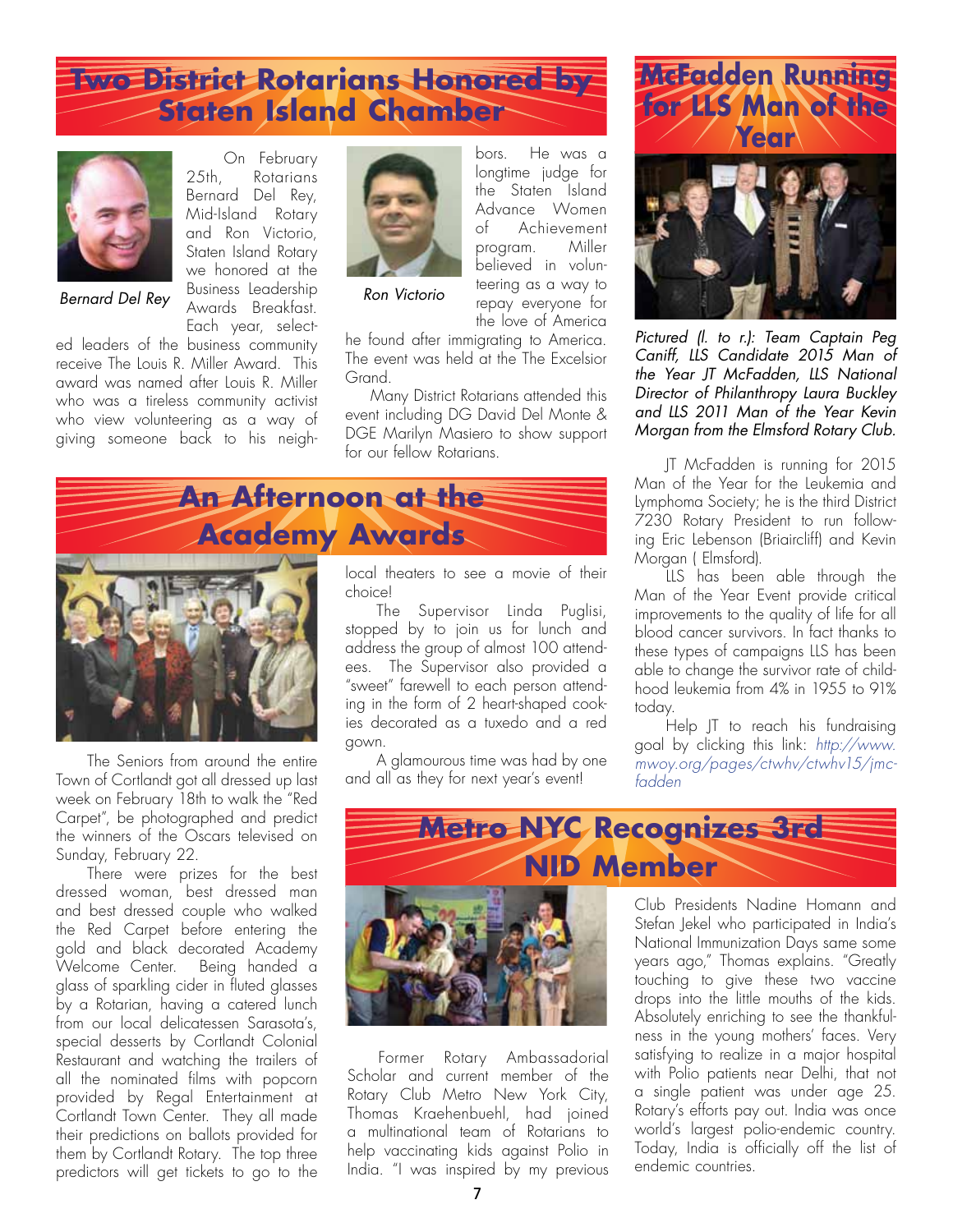## **Two District Rotarians Honored by Staten Island Chamber**

On February<br>25th. Rotarians

Bernard Del Rey, Mid-Island Rotary and Ron Victorio, Staten Island Rotary we honored at the Business Leadership Awards Breakfast.

Rotarians

![](_page_6_Picture_1.jpeg)

*Bernard Del Rey Ron Victorio*

Each year, selected leaders of the business community receive The Louis R. Miller Award. This award was named after Louis R. Miller who was a tireless community activist who view volunteering as a way of giving someone back to his neigh-

![](_page_6_Picture_4.jpeg)

bors. He was a longtime judge for the Staten Island Advance Women<br>of Achievement Achievement program. Miller believed in volunteering as a way to repay everyone for the love of America

he found after immigrating to America. The event was held at the The Excelsior **Grand** 

 Many District Rotarians attended this event including DG David Del Monte & DGE Marilyn Masiero to show support for our fellow Rotarians.

![](_page_6_Picture_9.jpeg)

The Seniors from around the entire Town of Cortlandt got all dressed up last week on February 18th to walk the "Red Carpet", be photographed and predict the winners of the Oscars televised on Sunday, February 22.

There were prizes for the best dressed woman, best dressed man and best dressed couple who walked the Red Carpet before entering the gold and black decorated Academy Welcome Center. Being handed a glass of sparkling cider in fluted glasses by a Rotarian, having a catered lunch from our local delicatessen Sarasota's, special desserts by Cortlandt Colonial Restaurant and watching the trailers of all the nominated films with popcorn provided by Regal Entertainment at Cortlandt Town Center. They all made their predictions on ballots provided for them by Cortlandt Rotary. The top three predictors will get tickets to go to the

local theaters to see a movie of their choice!

The Supervisor Linda Puglisi, stopped by to join us for lunch and address the group of almost 100 attendees. The Supervisor also provided a "sweet" farewell to each person attending in the form of 2 heart-shaped cookies decorated as a tuxedo and a red gown.

A glamourous time was had by one and all as they for next year's event!

![](_page_6_Picture_15.jpeg)

*Pictured (l. to r.): Team Captain Peg Caniff, LLS Candidate 2015 Man of the Year JT McFadden, LLS National Director of Philanthropy Laura Buckley and LLS 2011 Man of the Year Kevin Morgan from the Elmsford Rotary Club.*

JT McFadden is running for 2015 Man of the Year for the Leukemia and Lymphoma Society; he is the third District 7230 Rotary President to run following Eric Lebenson (Briaircliff) and Kevin Morgan ( Elmsford).

LLS has been able through the Man of the Year Event provide critical improvements to the quality of life for all blood cancer survivors. In fact thanks to these types of campaigns LLS has been able to change the survivor rate of childhood leukemia from 4% in 1955 to 91% today.

Help JT to reach his fundraising goal by clicking this link: *http://www. mwoy.org/pages/ctwhv/ctwhv15/jmcfadden*

![](_page_6_Picture_20.jpeg)

Stefan Jekel who participated in India's National Immunization Days same some years ago," Thomas explains. "Greatly touching to give these two vaccine drops into the little mouths of the kids. Absolutely enriching to see the thankfulness in the young mothers' faces. Very satisfying to realize in a major hospital with Polio patients near Delhi, that not a single patient was under age 25. Rotary's efforts pay out. India was once world's largest polio-endemic country. Today, India is officially off the list of endemic countries.

Former Rotary Ambassadorial Scholar and current member of the Rotary Club Metro New York City, Thomas Kraehenbuehl, had joined a multinational team of Rotarians to help vaccinating kids against Polio in